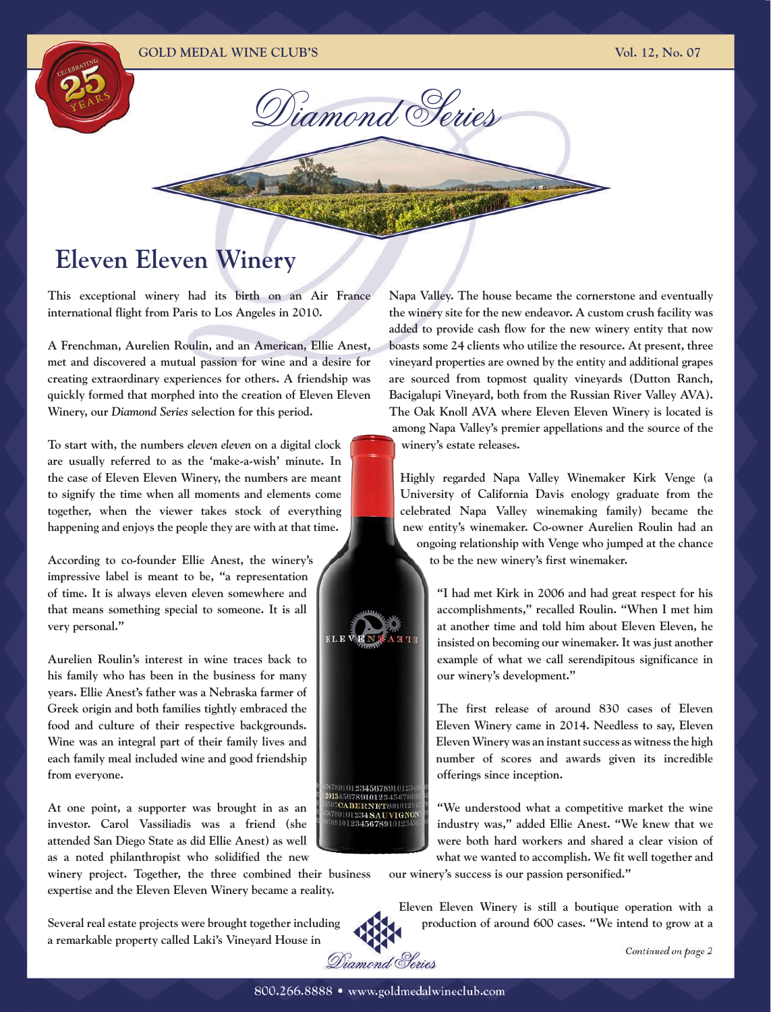Diamond Series

# **Eleven Eleven Winery**

**This exceptional winery had its birth on an Air France international flight from Paris to Los Angeles in 2010.** 

**A Frenchman, Aurelien Roulin, and an American, Ellie Anest, met and discovered a mutual passion for wine and a desire for creating extraordinary experiences for others. A friendship was quickly formed that morphed into the creation of Eleven Eleven Winery, our** *Diamond Series* **selection for this period.**

**To start with, the numbers** *eleven eleven* **on a digital clock are usually referred to as the 'make-a-wish' minute. In the case of Eleven Eleven Winery, the numbers are meant to signify the time when all moments and elements come together, when the viewer takes stock of everything happening and enjoys the people they are with at that time.**

**According to co-founder Ellie Anest, the winery's impressive label is meant to be, "a representation of time. It is always eleven eleven somewhere and that means something special to someone. It is all very personal."**

**Aurelien Roulin's interest in wine traces back to his family who has been in the business for many years. Ellie Anest's father was a Nebraska farmer of Greek origin and both families tightly embraced the food and culture of their respective backgrounds. Wine was an integral part of their family lives and each family meal included wine and good friendship from everyone.**

**At one point, a supporter was brought in as an investor. Carol Vassiliadis was a friend (she attended San Diego State as did Ellie Anest) as well as a noted philanthropist who solidified the new** 

**winery project. Together, the three combined their business expertise and the Eleven Eleven Winery became a reality.**

**Several real estate projects were brought together including a remarkable property called Laki's Vineyard House in** 

**Napa Valley. The house became the cornerstone and eventually the winery site for the new endeavor. A custom crush facility was added to provide cash flow for the new winery entity that now boasts some 24 clients who utilize the resource. At present, three vineyard properties are owned by the entity and additional grapes are sourced from topmost quality vineyards (Dutton Ranch, Bacigalupi Vineyard, both from the Russian River Valley AVA). The Oak Knoll AVA where Eleven Eleven Winery is located is among Napa Valley's premier appellations and the source of the winery's estate releases.**

**Highly regarded Napa Valley Winemaker Kirk Venge (a University of California Davis enology graduate from the celebrated Napa Valley winemaking family) became the new entity's winemaker. Co-owner Aurelien Roulin had an ongoing relationship with Venge who jumped at the chance to be the new winery's first winemaker.**

> **"I had met Kirk in 2006 and had great respect for his accomplishments," recalled Roulin. "When I met him at another time and told him about Eleven Eleven, he insisted on becoming our winemaker. It was just another example of what we call serendipitous significance in our winery's development."**

> **The first release of around 830 cases of Eleven Eleven Winery came in 2014. Needless to say, Eleven Eleven Winery was an instant success as witness the high number of scores and awards given its incredible offerings since inception.**

> **"We understood what a competitive market the wine industry was," added Ellie Anest. "We knew that we were both hard workers and shared a clear vision of what we wanted to accomplish. We fit well together and**

**our winery's success is our passion personified."**

**Eleven Eleven Winery is still a boutique operation with a production of around 600 cases. "We intend to grow at a** 



891012345678910123 6789101234567 CABERNET891012 101234SAUVIGNON 10123456789101

**NEA**